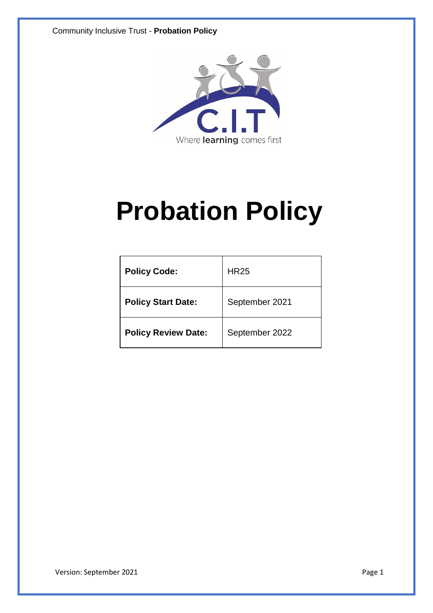

# **Probation Policy**

| <b>Policy Code:</b>        | <b>HR25</b>    |
|----------------------------|----------------|
| <b>Policy Start Date:</b>  | September 2021 |
| <b>Policy Review Date:</b> | September 2022 |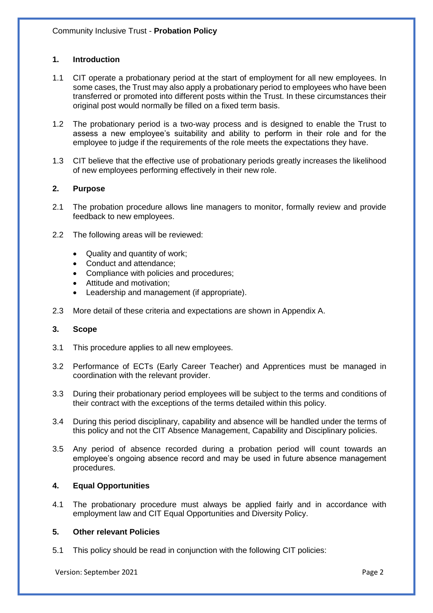# **1. Introduction**

- 1.1 CIT operate a probationary period at the start of employment for all new employees. In some cases, the Trust may also apply a probationary period to employees who have been transferred or promoted into different posts within the Trust. In these circumstances their original post would normally be filled on a fixed term basis.
- 1.2 The probationary period is a two-way process and is designed to enable the Trust to assess a new employee's suitability and ability to perform in their role and for the employee to judge if the requirements of the role meets the expectations they have.
- 1.3 CIT believe that the effective use of probationary periods greatly increases the likelihood of new employees performing effectively in their new role.

# **2. Purpose**

- 2.1 The probation procedure allows line managers to monitor, formally review and provide feedback to new employees.
- 2.2 The following areas will be reviewed:
	- Quality and quantity of work;
	- Conduct and attendance:
	- Compliance with policies and procedures;
	- Attitude and motivation;
	- Leadership and management (if appropriate).
- 2.3 More detail of these criteria and expectations are shown in Appendix A.

#### **3. Scope**

- 3.1 This procedure applies to all new employees.
- 3.2 Performance of ECTs (Early Career Teacher) and Apprentices must be managed in coordination with the relevant provider.
- 3.3 During their probationary period employees will be subject to the terms and conditions of their contract with the exceptions of the terms detailed within this policy.
- 3.4 During this period disciplinary, capability and absence will be handled under the terms of this policy and not the CIT Absence Management, Capability and Disciplinary policies.
- 3.5 Any period of absence recorded during a probation period will count towards an employee's ongoing absence record and may be used in future absence management procedures.

# **4. Equal Opportunities**

4.1 The probationary procedure must always be applied fairly and in accordance with employment law and CIT Equal Opportunities and Diversity Policy.

# **5. Other relevant Policies**

5.1 This policy should be read in conjunction with the following CIT policies: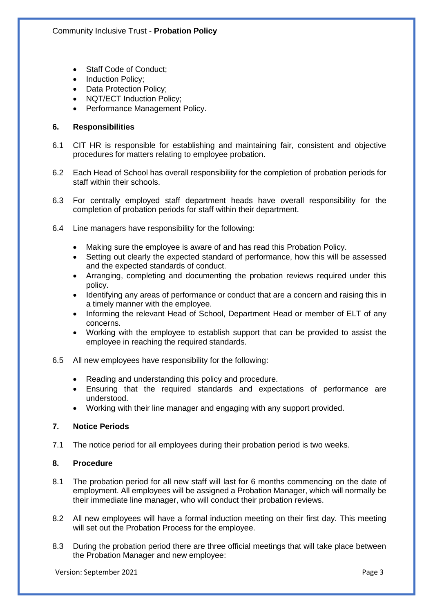- Staff Code of Conduct:
- Induction Policy;
- Data Protection Policy;
- NQT/ECT Induction Policy;
- Performance Management Policy.

# **6. Responsibilities**

- 6.1 CIT HR is responsible for establishing and maintaining fair, consistent and objective procedures for matters relating to employee probation.
- 6.2 Each Head of School has overall responsibility for the completion of probation periods for staff within their schools.
- 6.3 For centrally employed staff department heads have overall responsibility for the completion of probation periods for staff within their department.
- 6.4 Line managers have responsibility for the following:
	- Making sure the employee is aware of and has read this Probation Policy.
	- Setting out clearly the expected standard of performance, how this will be assessed and the expected standards of conduct.
	- Arranging, completing and documenting the probation reviews required under this policy.
	- Identifying any areas of performance or conduct that are a concern and raising this in a timely manner with the employee.
	- Informing the relevant Head of School, Department Head or member of ELT of any concerns.
	- Working with the employee to establish support that can be provided to assist the employee in reaching the required standards.
- 6.5 All new employees have responsibility for the following:
	- Reading and understanding this policy and procedure.
	- Ensuring that the required standards and expectations of performance are understood.
	- Working with their line manager and engaging with any support provided.

# **7. Notice Periods**

7.1 The notice period for all employees during their probation period is two weeks.

# **8. Procedure**

- 8.1 The probation period for all new staff will last for 6 months commencing on the date of employment. All employees will be assigned a Probation Manager, which will normally be their immediate line manager, who will conduct their probation reviews.
- 8.2 All new employees will have a formal induction meeting on their first day. This meeting will set out the Probation Process for the employee.
- 8.3 During the probation period there are three official meetings that will take place between the Probation Manager and new employee: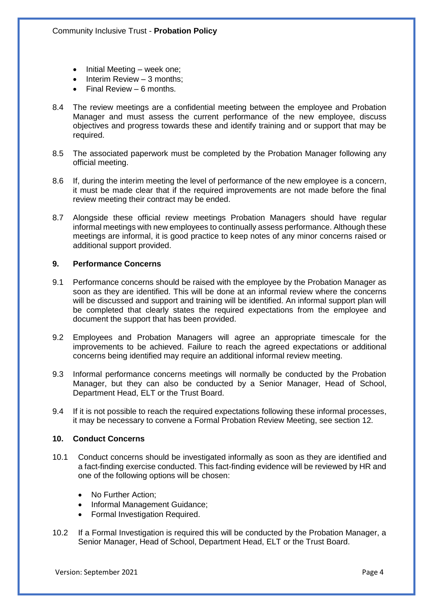- Initial Meeting week one;
- Interim Review 3 months;
- Final Review 6 months.
- 8.4 The review meetings are a confidential meeting between the employee and Probation Manager and must assess the current performance of the new employee, discuss objectives and progress towards these and identify training and or support that may be required.
- 8.5 The associated paperwork must be completed by the Probation Manager following any official meeting.
- 8.6 If, during the interim meeting the level of performance of the new employee is a concern, it must be made clear that if the required improvements are not made before the final review meeting their contract may be ended.
- 8.7 Alongside these official review meetings Probation Managers should have regular informal meetings with new employees to continually assess performance. Although these meetings are informal, it is good practice to keep notes of any minor concerns raised or additional support provided.

#### **9. Performance Concerns**

- 9.1 Performance concerns should be raised with the employee by the Probation Manager as soon as they are identified. This will be done at an informal review where the concerns will be discussed and support and training will be identified. An informal support plan will be completed that clearly states the required expectations from the employee and document the support that has been provided.
- 9.2 Employees and Probation Managers will agree an appropriate timescale for the improvements to be achieved. Failure to reach the agreed expectations or additional concerns being identified may require an additional informal review meeting.
- 9.3 Informal performance concerns meetings will normally be conducted by the Probation Manager, but they can also be conducted by a Senior Manager, Head of School, Department Head, ELT or the Trust Board.
- 9.4 If it is not possible to reach the required expectations following these informal processes, it may be necessary to convene a Formal Probation Review Meeting, see section 12.

#### **10. Conduct Concerns**

- 10.1 Conduct concerns should be investigated informally as soon as they are identified and a fact-finding exercise conducted. This fact-finding evidence will be reviewed by HR and one of the following options will be chosen:
	- No Further Action:
	- Informal Management Guidance;
	- Formal Investigation Required.
- 10.2 If a Formal Investigation is required this will be conducted by the Probation Manager, a Senior Manager, Head of School, Department Head, ELT or the Trust Board.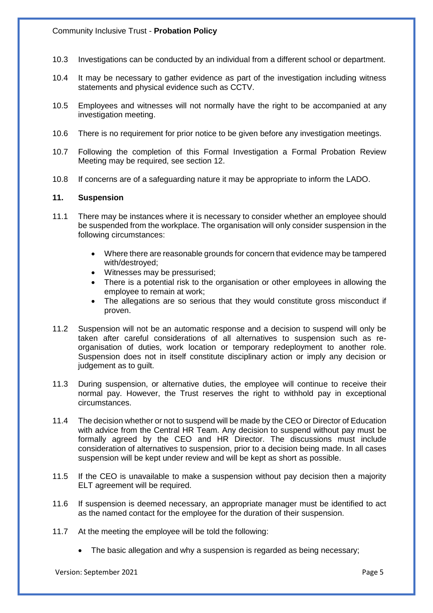- 10.3 Investigations can be conducted by an individual from a different school or department.
- 10.4 It may be necessary to gather evidence as part of the investigation including witness statements and physical evidence such as CCTV.
- 10.5 Employees and witnesses will not normally have the right to be accompanied at any investigation meeting.
- 10.6 There is no requirement for prior notice to be given before any investigation meetings.
- 10.7 Following the completion of this Formal Investigation a Formal Probation Review Meeting may be required, see section 12.
- 10.8 If concerns are of a safeguarding nature it may be appropriate to inform the LADO.

#### **11. Suspension**

- 11.1 There may be instances where it is necessary to consider whether an employee should be suspended from the workplace. The organisation will only consider suspension in the following circumstances:
	- Where there are reasonable grounds for concern that evidence may be tampered with/destroyed;
	- Witnesses may be pressurised;
	- There is a potential risk to the organisation or other employees in allowing the employee to remain at work;
	- The allegations are so serious that they would constitute gross misconduct if proven.
- 11.2 Suspension will not be an automatic response and a decision to suspend will only be taken after careful considerations of all alternatives to suspension such as reorganisation of duties, work location or temporary redeployment to another role. Suspension does not in itself constitute disciplinary action or imply any decision or judgement as to guilt.
- 11.3 During suspension, or alternative duties, the employee will continue to receive their normal pay. However, the Trust reserves the right to withhold pay in exceptional circumstances.
- 11.4 The decision whether or not to suspend will be made by the CEO or Director of Education with advice from the Central HR Team. Any decision to suspend without pay must be formally agreed by the CEO and HR Director. The discussions must include consideration of alternatives to suspension, prior to a decision being made. In all cases suspension will be kept under review and will be kept as short as possible.
- 11.5 If the CEO is unavailable to make a suspension without pay decision then a majority ELT agreement will be required.
- 11.6 If suspension is deemed necessary, an appropriate manager must be identified to act as the named contact for the employee for the duration of their suspension.
- 11.7 At the meeting the employee will be told the following:
	- The basic allegation and why a suspension is regarded as being necessary;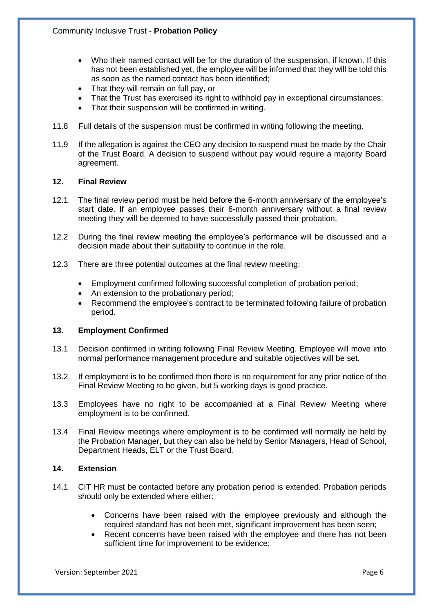- Who their named contact will be for the duration of the suspension, if known. If this has not been established yet, the employee will be informed that they will be told this as soon as the named contact has been identified;
- That they will remain on full pay, or
- That the Trust has exercised its right to withhold pay in exceptional circumstances;
- That their suspension will be confirmed in writing.
- 11.8 Full details of the suspension must be confirmed in writing following the meeting.
- 11.9 If the allegation is against the CEO any decision to suspend must be made by the Chair of the Trust Board. A decision to suspend without pay would require a majority Board agreement.

### **12. Final Review**

- 12.1 The final review period must be held before the 6-month anniversary of the employee's start date. If an employee passes their 6-month anniversary without a final review meeting they will be deemed to have successfully passed their probation.
- 12.2 During the final review meeting the employee's performance will be discussed and a decision made about their suitability to continue in the role.
- 12.3 There are three potential outcomes at the final review meeting:
	- Employment confirmed following successful completion of probation period;
	- An extension to the probationary period;
	- Recommend the employee's contract to be terminated following failure of probation period.

# **13. Employment Confirmed**

- 13.1 Decision confirmed in writing following Final Review Meeting. Employee will move into normal performance management procedure and suitable objectives will be set.
- 13.2 If employment is to be confirmed then there is no requirement for any prior notice of the Final Review Meeting to be given, but 5 working days is good practice.
- 13.3 Employees have no right to be accompanied at a Final Review Meeting where employment is to be confirmed.
- 13.4 Final Review meetings where employment is to be confirmed will normally be held by the Probation Manager, but they can also be held by Senior Managers, Head of School, Department Heads, ELT or the Trust Board.

# **14. Extension**

- 14.1 CIT HR must be contacted before any probation period is extended. Probation periods should only be extended where either:
	- Concerns have been raised with the employee previously and although the required standard has not been met, significant improvement has been seen;
	- Recent concerns have been raised with the employee and there has not been sufficient time for improvement to be evidence;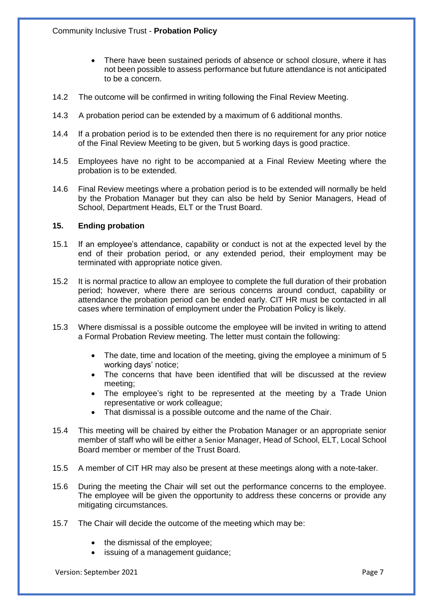- There have been sustained periods of absence or school closure, where it has not been possible to assess performance but future attendance is not anticipated to be a concern.
- 14.2 The outcome will be confirmed in writing following the Final Review Meeting.
- 14.3 A probation period can be extended by a maximum of 6 additional months.
- 14.4 If a probation period is to be extended then there is no requirement for any prior notice of the Final Review Meeting to be given, but 5 working days is good practice.
- 14.5 Employees have no right to be accompanied at a Final Review Meeting where the probation is to be extended.
- 14.6 Final Review meetings where a probation period is to be extended will normally be held by the Probation Manager but they can also be held by Senior Managers, Head of School, Department Heads, ELT or the Trust Board.

#### **15. Ending probation**

- 15.1 If an employee's attendance, capability or conduct is not at the expected level by the end of their probation period, or any extended period, their employment may be terminated with appropriate notice given.
- 15.2 It is normal practice to allow an employee to complete the full duration of their probation period; however, where there are serious concerns around conduct, capability or attendance the probation period can be ended early. CIT HR must be contacted in all cases where termination of employment under the Probation Policy is likely.
- 15.3 Where dismissal is a possible outcome the employee will be invited in writing to attend a Formal Probation Review meeting. The letter must contain the following:
	- The date, time and location of the meeting, giving the employee a minimum of 5 working days' notice;
	- The concerns that have been identified that will be discussed at the review meeting;
	- The employee's right to be represented at the meeting by a Trade Union representative or work colleague;
	- That dismissal is a possible outcome and the name of the Chair.
- 15.4 This meeting will be chaired by either the Probation Manager or an appropriate senior member of staff who will be either a Senior Manager, Head of School, ELT, Local School Board member or member of the Trust Board.
- 15.5 A member of CIT HR may also be present at these meetings along with a note-taker.
- 15.6 During the meeting the Chair will set out the performance concerns to the employee. The employee will be given the opportunity to address these concerns or provide any mitigating circumstances.
- 15.7 The Chair will decide the outcome of the meeting which may be:
	- the dismissal of the employee;
	- issuing of a management guidance;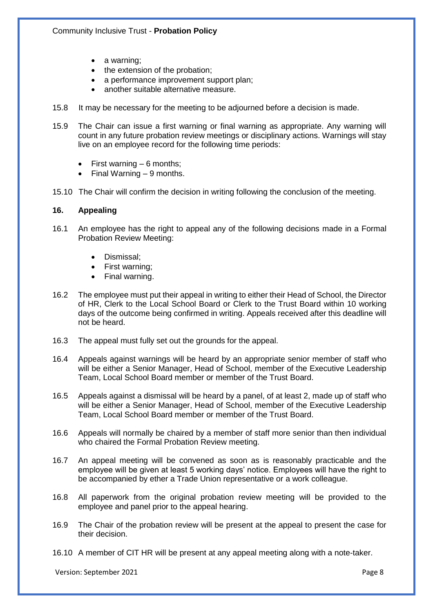- a warning;
- the extension of the probation;
- a performance improvement support plan;
- another suitable alternative measure.
- 15.8 It may be necessary for the meeting to be adjourned before a decision is made.
- 15.9 The Chair can issue a first warning or final warning as appropriate. Any warning will count in any future probation review meetings or disciplinary actions. Warnings will stay live on an employee record for the following time periods:
	- First warning  $-6$  months;
	- Final Warning 9 months.
- 15.10 The Chair will confirm the decision in writing following the conclusion of the meeting.

#### **16. Appealing**

- 16.1 An employee has the right to appeal any of the following decisions made in a Formal Probation Review Meeting:
	- Dismissal;
	- First warning;
	- Final warning.
- 16.2 The employee must put their appeal in writing to either their Head of School, the Director of HR, Clerk to the Local School Board or Clerk to the Trust Board within 10 working days of the outcome being confirmed in writing. Appeals received after this deadline will not be heard.
- 16.3 The appeal must fully set out the grounds for the appeal.
- 16.4 Appeals against warnings will be heard by an appropriate senior member of staff who will be either a Senior Manager, Head of School, member of the Executive Leadership Team, Local School Board member or member of the Trust Board.
- 16.5 Appeals against a dismissal will be heard by a panel, of at least 2, made up of staff who will be either a Senior Manager, Head of School, member of the Executive Leadership Team, Local School Board member or member of the Trust Board.
- 16.6 Appeals will normally be chaired by a member of staff more senior than then individual who chaired the Formal Probation Review meeting.
- 16.7 An appeal meeting will be convened as soon as is reasonably practicable and the employee will be given at least 5 working days' notice. Employees will have the right to be accompanied by ether a Trade Union representative or a work colleague.
- 16.8 All paperwork from the original probation review meeting will be provided to the employee and panel prior to the appeal hearing.
- 16.9 The Chair of the probation review will be present at the appeal to present the case for their decision.
- 16.10 A member of CIT HR will be present at any appeal meeting along with a note-taker.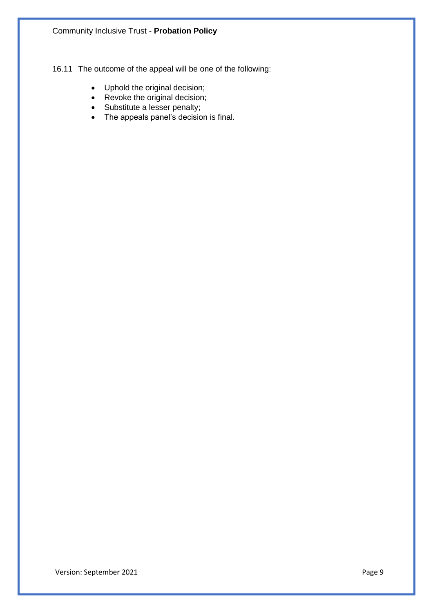16.11 The outcome of the appeal will be one of the following:

- Uphold the original decision;
- Revoke the original decision;
- Substitute a lesser penalty;
- The appeals panel's decision is final.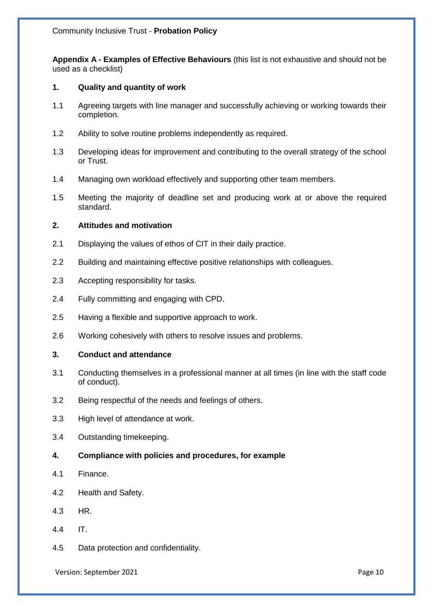**Appendix A - Examples of Effective Behaviours** (this list is not exhaustive and should not be used as a checklist)

## **1. Quality and quantity of work**

- 1.1 Agreeing targets with line manager and successfully achieving or working towards their completion.
- 1.2 Ability to solve routine problems independently as required.
- 1.3 Developing ideas for improvement and contributing to the overall strategy of the school or Trust.
- 1.4 Managing own workload effectively and supporting other team members.
- 1.5 Meeting the majority of deadline set and producing work at or above the required standard.

#### **2. Attitudes and motivation**

- 2.1 Displaying the values of ethos of CIT in their daily practice.
- 2.2 Building and maintaining effective positive relationships with colleagues.
- 2.3 Accepting responsibility for tasks.
- 2.4 Fully committing and engaging with CPD.
- 2.5 Having a flexible and supportive approach to work.
- 2.6 Working cohesively with others to resolve issues and problems.

#### **3. Conduct and attendance**

- 3.1 Conducting themselves in a professional manner at all times (in line with the staff code of conduct).
- 3.2 Being respectful of the needs and feelings of others.
- 3.3 High level of attendance at work.
- 3.4 Outstanding timekeeping.
- **4. Compliance with policies and procedures, for example**
- 4.1 Finance.
- 4.2 Health and Safety.
- 4.3 HR.
- 4.4 IT.
- 4.5 Data protection and confidentiality.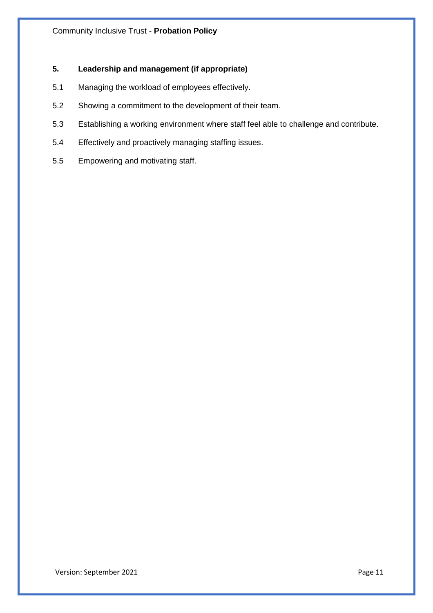# **5. Leadership and management (if appropriate)**

- 5.1 Managing the workload of employees effectively.
- 5.2 Showing a commitment to the development of their team.
- 5.3 Establishing a working environment where staff feel able to challenge and contribute.
- 5.4 Effectively and proactively managing staffing issues.
- 5.5 Empowering and motivating staff.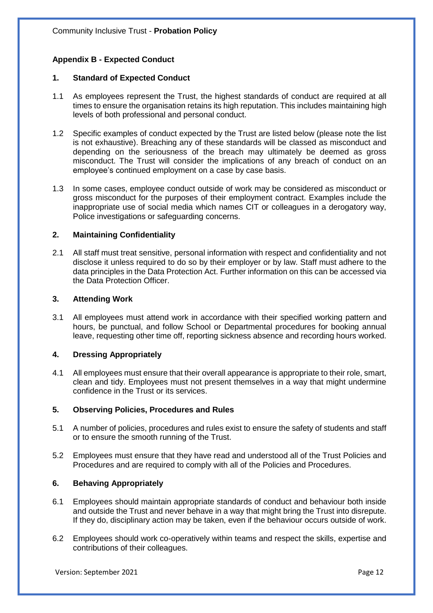# **Appendix B - Expected Conduct**

#### **1. Standard of Expected Conduct**

- 1.1 As employees represent the Trust, the highest standards of conduct are required at all times to ensure the organisation retains its high reputation. This includes maintaining high levels of both professional and personal conduct.
- 1.2 Specific examples of conduct expected by the Trust are listed below (please note the list is not exhaustive). Breaching any of these standards will be classed as misconduct and depending on the seriousness of the breach may ultimately be deemed as gross misconduct. The Trust will consider the implications of any breach of conduct on an employee's continued employment on a case by case basis.
- 1.3 In some cases, employee conduct outside of work may be considered as misconduct or gross misconduct for the purposes of their employment contract. Examples include the inappropriate use of social media which names CIT or colleagues in a derogatory way, Police investigations or safeguarding concerns.

#### **2. Maintaining Confidentiality**

2.1 All staff must treat sensitive, personal information with respect and confidentiality and not disclose it unless required to do so by their employer or by law. Staff must adhere to the data principles in the Data Protection Act. Further information on this can be accessed via the Data Protection Officer.

#### **3. Attending Work**

3.1 All employees must attend work in accordance with their specified working pattern and hours, be punctual, and follow School or Departmental procedures for booking annual leave, requesting other time off, reporting sickness absence and recording hours worked.

#### **4. Dressing Appropriately**

4.1 All employees must ensure that their overall appearance is appropriate to their role, smart, clean and tidy. Employees must not present themselves in a way that might undermine confidence in the Trust or its services.

#### **5. Observing Policies, Procedures and Rules**

- 5.1 A number of policies, procedures and rules exist to ensure the safety of students and staff or to ensure the smooth running of the Trust.
- 5.2 Employees must ensure that they have read and understood all of the Trust Policies and Procedures and are required to comply with all of the Policies and Procedures.

#### **6. Behaving Appropriately**

- 6.1 Employees should maintain appropriate standards of conduct and behaviour both inside and outside the Trust and never behave in a way that might bring the Trust into disrepute. If they do, disciplinary action may be taken, even if the behaviour occurs outside of work.
- 6.2 Employees should work co-operatively within teams and respect the skills, expertise and contributions of their colleagues.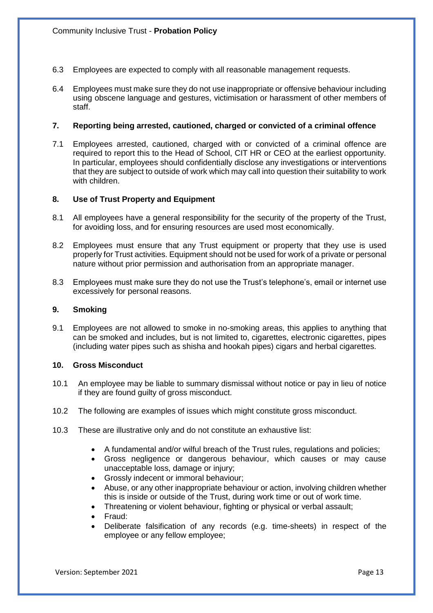- 6.3 Employees are expected to comply with all reasonable management requests.
- 6.4 Employees must make sure they do not use inappropriate or offensive behaviour including using obscene language and gestures, victimisation or harassment of other members of staff.

#### **7. Reporting being arrested, cautioned, charged or convicted of a criminal offence**

7.1 Employees arrested, cautioned, charged with or convicted of a criminal offence are required to report this to the Head of School, CIT HR or CEO at the earliest opportunity. In particular, employees should confidentially disclose any investigations or interventions that they are subject to outside of work which may call into question their suitability to work with children.

#### **8. Use of Trust Property and Equipment**

- 8.1 All employees have a general responsibility for the security of the property of the Trust, for avoiding loss, and for ensuring resources are used most economically.
- 8.2 Employees must ensure that any Trust equipment or property that they use is used properly for Trust activities. Equipment should not be used for work of a private or personal nature without prior permission and authorisation from an appropriate manager.
- 8.3 Employees must make sure they do not use the Trust's telephone's, email or internet use excessively for personal reasons.

#### **9. Smoking**

9.1 Employees are not allowed to smoke in no-smoking areas, this applies to anything that can be smoked and includes, but is not limited to, cigarettes, electronic cigarettes, pipes (including water pipes such as shisha and hookah pipes) cigars and herbal cigarettes.

## **10. Gross Misconduct**

- 10.1 An employee may be liable to summary dismissal without notice or pay in lieu of notice if they are found guilty of gross misconduct.
- 10.2 The following are examples of issues which might constitute gross misconduct.
- 10.3 These are illustrative only and do not constitute an exhaustive list:
	- A fundamental and/or wilful breach of the Trust rules, regulations and policies;
	- Gross negligence or dangerous behaviour, which causes or may cause unacceptable loss, damage or injury;
	- Grossly indecent or immoral behaviour;
	- Abuse, or any other inappropriate behaviour or action, involving children whether this is inside or outside of the Trust, during work time or out of work time.
	- Threatening or violent behaviour, fighting or physical or verbal assault;
	- Fraud:
	- Deliberate falsification of any records (e.g. time-sheets) in respect of the employee or any fellow employee;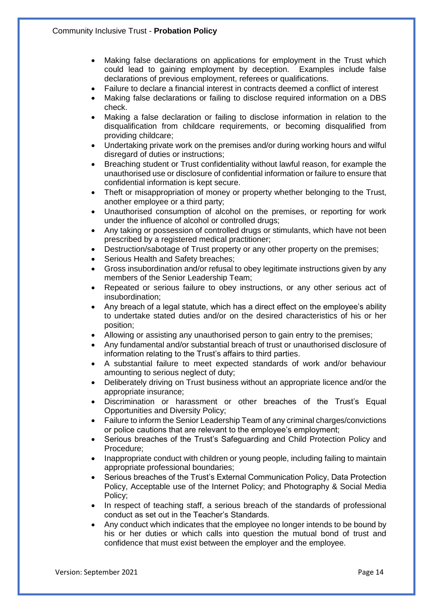- Making false declarations on applications for employment in the Trust which could lead to gaining employment by deception. Examples include false declarations of previous employment, referees or qualifications.
- Failure to declare a financial interest in contracts deemed a conflict of interest
- Making false declarations or failing to disclose required information on a DBS check.
- Making a false declaration or failing to disclose information in relation to the disqualification from childcare requirements, or becoming disqualified from providing childcare;
- Undertaking private work on the premises and/or during working hours and wilful disregard of duties or instructions;
- Breaching student or Trust confidentiality without lawful reason, for example the unauthorised use or disclosure of confidential information or failure to ensure that confidential information is kept secure.
- Theft or misappropriation of money or property whether belonging to the Trust, another employee or a third party;
- Unauthorised consumption of alcohol on the premises, or reporting for work under the influence of alcohol or controlled drugs;
- Any taking or possession of controlled drugs or stimulants, which have not been prescribed by a registered medical practitioner;
- Destruction/sabotage of Trust property or any other property on the premises;
- Serious Health and Safety breaches;
- Gross insubordination and/or refusal to obey legitimate instructions given by any members of the Senior Leadership Team;
- Repeated or serious failure to obey instructions, or any other serious act of insubordination;
- Any breach of a legal statute, which has a direct effect on the employee's ability to undertake stated duties and/or on the desired characteristics of his or her position;
- Allowing or assisting any unauthorised person to gain entry to the premises;
- Any fundamental and/or substantial breach of trust or unauthorised disclosure of information relating to the Trust's affairs to third parties.
- A substantial failure to meet expected standards of work and/or behaviour amounting to serious neglect of duty;
- Deliberately driving on Trust business without an appropriate licence and/or the appropriate insurance;
- Discrimination or harassment or other breaches of the Trust's Equal Opportunities and Diversity Policy;
- Failure to inform the Senior Leadership Team of any criminal charges/convictions or police cautions that are relevant to the employee's employment;
- Serious breaches of the Trust's Safeguarding and Child Protection Policy and Procedure;
- Inappropriate conduct with children or young people, including failing to maintain appropriate professional boundaries;
- Serious breaches of the Trust's External Communication Policy, Data Protection Policy, Acceptable use of the Internet Policy; and Photography & Social Media Policy;
- In respect of teaching staff, a serious breach of the standards of professional conduct as set out in the Teacher's Standards.
- Any conduct which indicates that the employee no longer intends to be bound by his or her duties or which calls into question the mutual bond of trust and confidence that must exist between the employer and the employee.